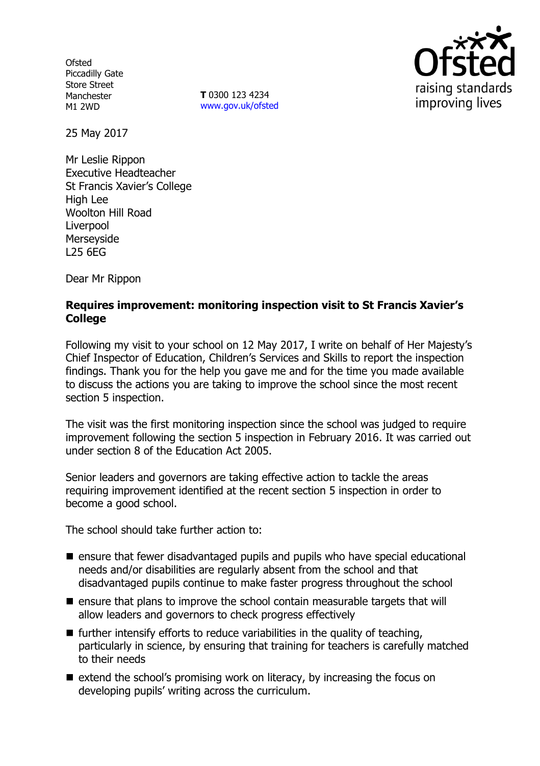**Ofsted** Piccadilly Gate Store Street Manchester M1 2WD

**T** 0300 123 4234 www.gov.uk/ofsted



25 May 2017

Mr Leslie Rippon Executive Headteacher St Francis Xavier's College High Lee Woolton Hill Road Liverpool Merseyside L25 6EG

Dear Mr Rippon

#### **Requires improvement: monitoring inspection visit to St Francis Xavier's College**

Following my visit to your school on 12 May 2017, I write on behalf of Her Majesty's Chief Inspector of Education, Children's Services and Skills to report the inspection findings. Thank you for the help you gave me and for the time you made available to discuss the actions you are taking to improve the school since the most recent section 5 inspection.

The visit was the first monitoring inspection since the school was judged to require improvement following the section 5 inspection in February 2016. It was carried out under section 8 of the Education Act 2005.

Senior leaders and governors are taking effective action to tackle the areas requiring improvement identified at the recent section 5 inspection in order to become a good school.

The school should take further action to:

- ensure that fewer disadvantaged pupils and pupils who have special educational needs and/or disabilities are regularly absent from the school and that disadvantaged pupils continue to make faster progress throughout the school
- $\blacksquare$  ensure that plans to improve the school contain measurable targets that will allow leaders and governors to check progress effectively
- $\blacksquare$  further intensify efforts to reduce variabilities in the quality of teaching, particularly in science, by ensuring that training for teachers is carefully matched to their needs
- $\blacksquare$  extend the school's promising work on literacy, by increasing the focus on developing pupils' writing across the curriculum.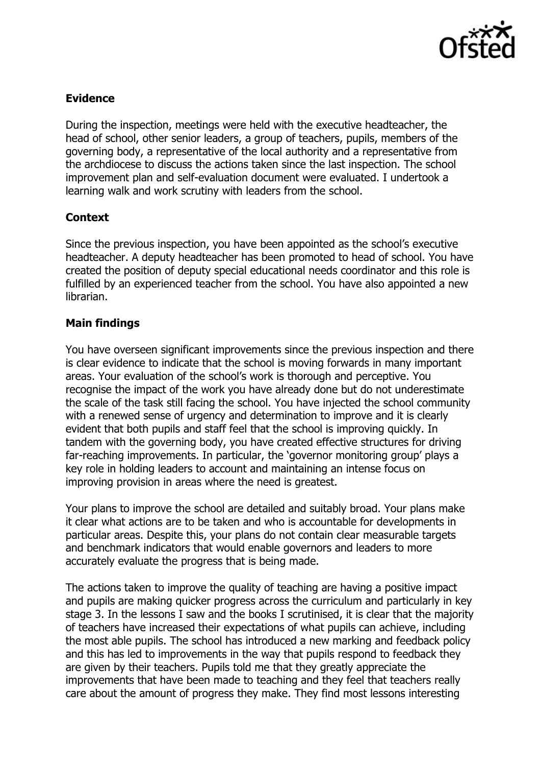

# **Evidence**

During the inspection, meetings were held with the executive headteacher, the head of school, other senior leaders, a group of teachers, pupils, members of the governing body, a representative of the local authority and a representative from the archdiocese to discuss the actions taken since the last inspection. The school improvement plan and self-evaluation document were evaluated. I undertook a learning walk and work scrutiny with leaders from the school.

## **Context**

Since the previous inspection, you have been appointed as the school's executive headteacher. A deputy headteacher has been promoted to head of school. You have created the position of deputy special educational needs coordinator and this role is fulfilled by an experienced teacher from the school. You have also appointed a new librarian.

## **Main findings**

You have overseen significant improvements since the previous inspection and there is clear evidence to indicate that the school is moving forwards in many important areas. Your evaluation of the school's work is thorough and perceptive. You recognise the impact of the work you have already done but do not underestimate the scale of the task still facing the school. You have injected the school community with a renewed sense of urgency and determination to improve and it is clearly evident that both pupils and staff feel that the school is improving quickly. In tandem with the governing body, you have created effective structures for driving far-reaching improvements. In particular, the 'governor monitoring group' plays a key role in holding leaders to account and maintaining an intense focus on improving provision in areas where the need is greatest.

Your plans to improve the school are detailed and suitably broad. Your plans make it clear what actions are to be taken and who is accountable for developments in particular areas. Despite this, your plans do not contain clear measurable targets and benchmark indicators that would enable governors and leaders to more accurately evaluate the progress that is being made.

The actions taken to improve the quality of teaching are having a positive impact and pupils are making quicker progress across the curriculum and particularly in key stage 3. In the lessons I saw and the books I scrutinised, it is clear that the majority of teachers have increased their expectations of what pupils can achieve, including the most able pupils. The school has introduced a new marking and feedback policy and this has led to improvements in the way that pupils respond to feedback they are given by their teachers. Pupils told me that they greatly appreciate the improvements that have been made to teaching and they feel that teachers really care about the amount of progress they make. They find most lessons interesting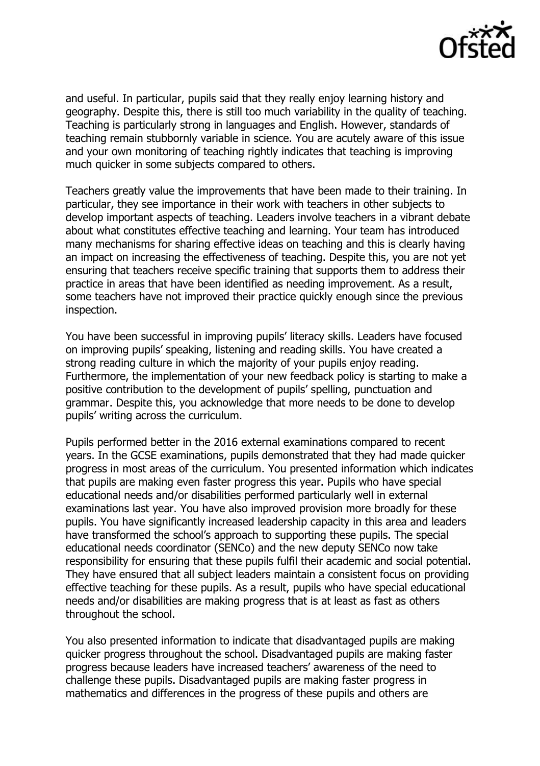

and useful. In particular, pupils said that they really enjoy learning history and geography. Despite this, there is still too much variability in the quality of teaching. Teaching is particularly strong in languages and English. However, standards of teaching remain stubbornly variable in science. You are acutely aware of this issue and your own monitoring of teaching rightly indicates that teaching is improving much quicker in some subjects compared to others.

Teachers greatly value the improvements that have been made to their training. In particular, they see importance in their work with teachers in other subjects to develop important aspects of teaching. Leaders involve teachers in a vibrant debate about what constitutes effective teaching and learning. Your team has introduced many mechanisms for sharing effective ideas on teaching and this is clearly having an impact on increasing the effectiveness of teaching. Despite this, you are not yet ensuring that teachers receive specific training that supports them to address their practice in areas that have been identified as needing improvement. As a result, some teachers have not improved their practice quickly enough since the previous inspection.

You have been successful in improving pupils' literacy skills. Leaders have focused on improving pupils' speaking, listening and reading skills. You have created a strong reading culture in which the majority of your pupils enjoy reading. Furthermore, the implementation of your new feedback policy is starting to make a positive contribution to the development of pupils' spelling, punctuation and grammar. Despite this, you acknowledge that more needs to be done to develop pupils' writing across the curriculum.

Pupils performed better in the 2016 external examinations compared to recent years. In the GCSE examinations, pupils demonstrated that they had made quicker progress in most areas of the curriculum. You presented information which indicates that pupils are making even faster progress this year. Pupils who have special educational needs and/or disabilities performed particularly well in external examinations last year. You have also improved provision more broadly for these pupils. You have significantly increased leadership capacity in this area and leaders have transformed the school's approach to supporting these pupils. The special educational needs coordinator (SENCo) and the new deputy SENCo now take responsibility for ensuring that these pupils fulfil their academic and social potential. They have ensured that all subject leaders maintain a consistent focus on providing effective teaching for these pupils. As a result, pupils who have special educational needs and/or disabilities are making progress that is at least as fast as others throughout the school.

You also presented information to indicate that disadvantaged pupils are making quicker progress throughout the school. Disadvantaged pupils are making faster progress because leaders have increased teachers' awareness of the need to challenge these pupils. Disadvantaged pupils are making faster progress in mathematics and differences in the progress of these pupils and others are